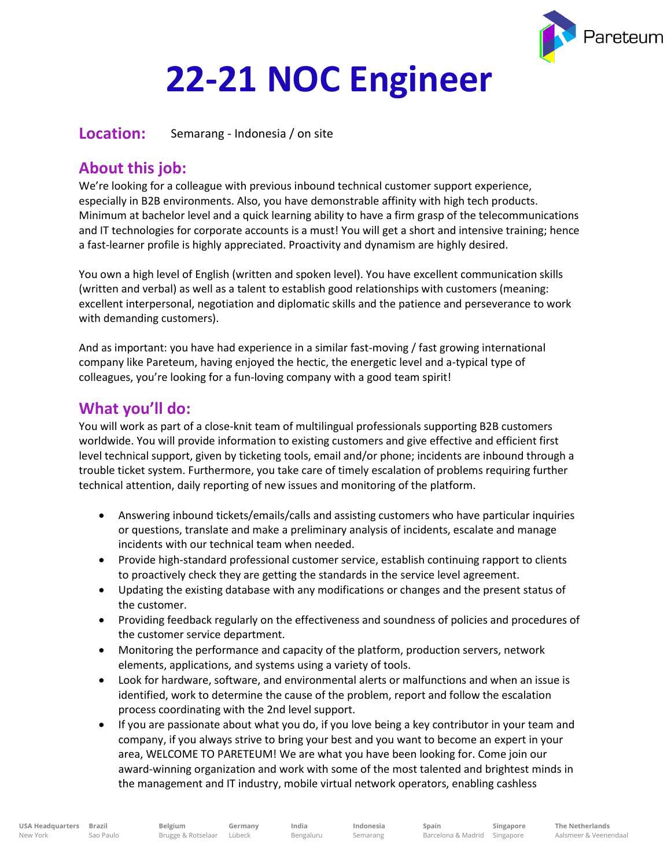

# **22-21 NOC Engineer**

**Location:** Semarang - Indonesia / on site

## **About this job:**

We're looking for a colleague with previous inbound technical customer support experience, especially in B2B environments. Also, you have demonstrable affinity with high tech products. Minimum at bachelor level and a quick learning ability to have a firm grasp of the telecommunications and IT technologies for corporate accounts is a must! You will get a short and intensive training; hence a fast-learner profile is highly appreciated. Proactivity and dynamism are highly desired.

You own a high level of English (written and spoken level). You have excellent communication skills (written and verbal) as well as a talent to establish good relationships with customers (meaning: excellent interpersonal, negotiation and diplomatic skills and the patience and perseverance to work with demanding customers).

And as important: you have had experience in a similar fast-moving / fast growing international company like Pareteum, having enjoyed the hectic, the energetic level and a-typical type of colleagues, you're looking for a fun-loving company with a good team spirit!

### **What you'll do:**

You will work as part of a close-knit team of multilingual professionals supporting B2B customers worldwide. You will provide information to existing customers and give effective and efficient first level technical support, given by ticketing tools, email and/or phone; incidents are inbound through a trouble ticket system. Furthermore, you take care of timely escalation of problems requiring further technical attention, daily reporting of new issues and monitoring of the platform.

- Answering inbound tickets/emails/calls and assisting customers who have particular inquiries or questions, translate and make a preliminary analysis of incidents, escalate and manage incidents with our technical team when needed.
- Provide high-standard professional customer service, establish continuing rapport to clients to proactively check they are getting the standards in the service level agreement.
- Updating the existing database with any modifications or changes and the present status of the customer.
- Providing feedback regularly on the effectiveness and soundness of policies and procedures of the customer service department.
- Monitoring the performance and capacity of the platform, production servers, network elements, applications, and systems using a variety of tools.
- Look for hardware, software, and environmental alerts or malfunctions and when an issue is identified, work to determine the cause of the problem, report and follow the escalation process coordinating with the 2nd level support.
- If you are passionate about what you do, if you love being a key contributor in your team and company, if you always strive to bring your best and you want to become an expert in your area, WELCOME TO PARETEUM! We are what you have been looking for. Come join our award-winning organization and work with some of the most talented and brightest minds in the management and IT industry, mobile virtual network operators, enabling cashless